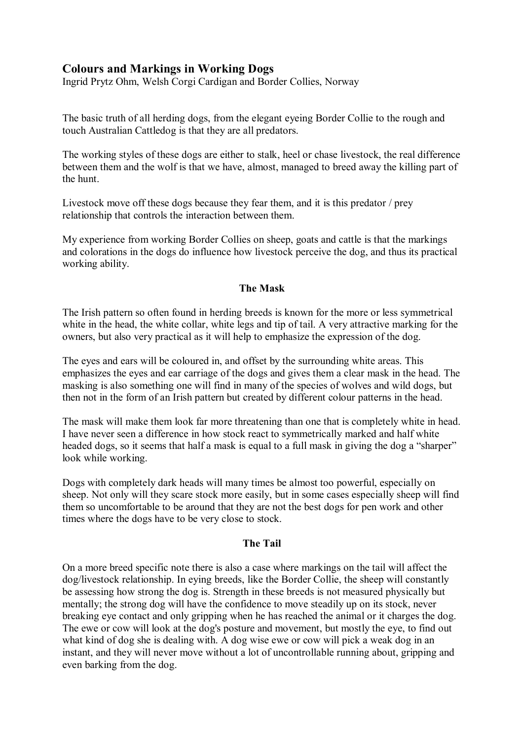## **Colours and Markings in Working Dogs**

Ingrid Prytz Ohm, Welsh Corgi Cardigan and Border Collies, Norway

The basic truth of all herding dogs, from the elegant eyeing Border Collie to the rough and touch Australian Cattledog is that they are all predators.

The working styles of these dogs are either to stalk, heel or chase livestock, the real difference between them and the wolf is that we have, almost, managed to breed away the killing part of the hunt.

Livestock move off these dogs because they fear them, and it is this predator / prey relationship that controls the interaction between them.

My experience from working Border Collies on sheep, goats and cattle is that the markings and colorations in the dogs do influence how livestock perceive the dog, and thus its practical working ability.

## **The Mask**

The Irish pattern so often found in herding breeds is known for the more or less symmetrical white in the head, the white collar, white legs and tip of tail. A very attractive marking for the owners, but also very practical as it will help to emphasize the expression of the dog.

The eyes and ears will be coloured in, and offset by the surrounding white areas. This emphasizes the eyes and ear carriage of the dogs and gives them a clear mask in the head. The masking is also something one will find in many of the species of wolves and wild dogs, but then not in the form of an Irish pattern but created by different colour patterns in the head.

The mask will make them look far more threatening than one that is completely white in head. I have never seen a difference in how stock react to symmetrically marked and half white headed dogs, so it seems that half a mask is equal to a full mask in giving the dog a "sharper" look while working.

Dogs with completely dark heads will many times be almost too powerful, especially on sheep. Not only will they scare stock more easily, but in some cases especially sheep will find them so uncomfortable to be around that they are not the best dogs for pen work and other times where the dogs have to be very close to stock.

## **The Tail**

On a more breed specific note there is also a case where markings on the tail will affect the dog/livestock relationship. In eying breeds, like the Border Collie, the sheep will constantly be assessing how strong the dog is. Strength in these breeds is not measured physically but mentally; the strong dog will have the confidence to move steadily up on its stock, never breaking eye contact and only gripping when he has reached the animal or it charges the dog. The ewe or cow will look at the dog's posture and movement, but mostly the eye, to find out what kind of dog she is dealing with. A dog wise ewe or cow will pick a weak dog in an instant, and they will never move without a lot of uncontrollable running about, gripping and even barking from the dog.